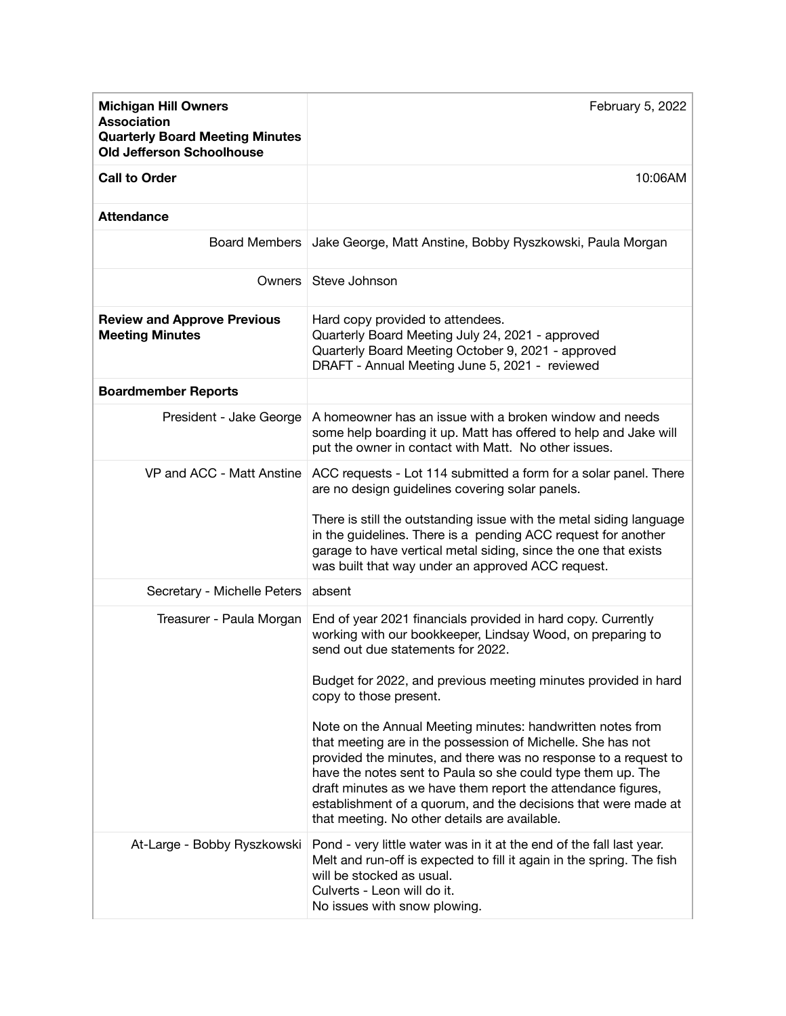| <b>Michigan Hill Owners</b><br><b>Association</b><br><b>Quarterly Board Meeting Minutes</b><br><b>Old Jefferson Schoolhouse</b> | February 5, 2022                                                                                                                                                                                                                                                                                                                                                                                                                               |
|---------------------------------------------------------------------------------------------------------------------------------|------------------------------------------------------------------------------------------------------------------------------------------------------------------------------------------------------------------------------------------------------------------------------------------------------------------------------------------------------------------------------------------------------------------------------------------------|
| <b>Call to Order</b>                                                                                                            | 10:06AM                                                                                                                                                                                                                                                                                                                                                                                                                                        |
| <b>Attendance</b>                                                                                                               |                                                                                                                                                                                                                                                                                                                                                                                                                                                |
|                                                                                                                                 | Board Members   Jake George, Matt Anstine, Bobby Ryszkowski, Paula Morgan                                                                                                                                                                                                                                                                                                                                                                      |
|                                                                                                                                 | Owners   Steve Johnson                                                                                                                                                                                                                                                                                                                                                                                                                         |
| <b>Review and Approve Previous</b><br><b>Meeting Minutes</b>                                                                    | Hard copy provided to attendees.<br>Quarterly Board Meeting July 24, 2021 - approved<br>Quarterly Board Meeting October 9, 2021 - approved<br>DRAFT - Annual Meeting June 5, 2021 - reviewed                                                                                                                                                                                                                                                   |
| <b>Boardmember Reports</b>                                                                                                      |                                                                                                                                                                                                                                                                                                                                                                                                                                                |
| President - Jake George                                                                                                         | A homeowner has an issue with a broken window and needs<br>some help boarding it up. Matt has offered to help and Jake will<br>put the owner in contact with Matt. No other issues.                                                                                                                                                                                                                                                            |
| VP and ACC - Matt Anstine                                                                                                       | ACC requests - Lot 114 submitted a form for a solar panel. There<br>are no design guidelines covering solar panels.                                                                                                                                                                                                                                                                                                                            |
|                                                                                                                                 | There is still the outstanding issue with the metal siding language<br>in the guidelines. There is a pending ACC request for another<br>garage to have vertical metal siding, since the one that exists<br>was built that way under an approved ACC request.                                                                                                                                                                                   |
| Secretary - Michelle Peters   absent                                                                                            |                                                                                                                                                                                                                                                                                                                                                                                                                                                |
| Treasurer - Paula Morgan                                                                                                        | End of year 2021 financials provided in hard copy. Currently<br>working with our bookkeeper, Lindsay Wood, on preparing to<br>send out due statements for 2022.                                                                                                                                                                                                                                                                                |
|                                                                                                                                 | Budget for 2022, and previous meeting minutes provided in hard<br>copy to those present.                                                                                                                                                                                                                                                                                                                                                       |
|                                                                                                                                 | Note on the Annual Meeting minutes: handwritten notes from<br>that meeting are in the possession of Michelle. She has not<br>provided the minutes, and there was no response to a request to<br>have the notes sent to Paula so she could type them up. The<br>draft minutes as we have them report the attendance figures,<br>establishment of a quorum, and the decisions that were made at<br>that meeting. No other details are available. |
|                                                                                                                                 | At-Large - Bobby Ryszkowski Pond - very little water was in it at the end of the fall last year.<br>Melt and run-off is expected to fill it again in the spring. The fish<br>will be stocked as usual.<br>Culverts - Leon will do it.<br>No issues with snow plowing.                                                                                                                                                                          |